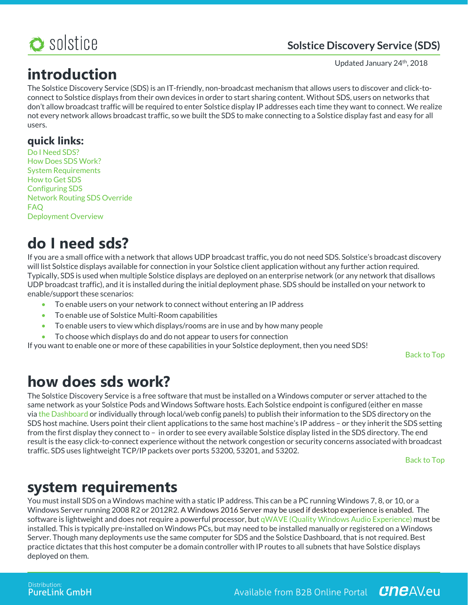

### **Solstice Discovery Service (SDS)**

#### Updated January 24<sup>th</sup>, 2018

**introduction**

The Solstice Discovery Service (SDS) is an IT-friendly, non-broadcast mechanism that allows users to discover and click-toconnect to Solstice displays from their own devices in order to start sharing content. Without SDS, users on networks that don't allow broadcast traffic will be required to enter Solstice display IP addresses each time they want to connect. We realize not every network allows broadcast traffic, so we built the SDS to make connecting to a Solstice display fast and easy for all users.

### **quick links:**

Do I Need SDS? How Does SDS Work? System Requirements How to Get SDS Configuring SDS Network Routing SDS Override FAQ Deployment Overview

## **do I need sds?**

If you are a small office with a network that allows UDP broadcast traffic, you do not need SDS. Solstice's broadcast discovery will list Solstice displays available for connection in your Solstice client application without any further action required. Typically, SDS is used when multiple Solstice displays are deployed on an enterprise network (or any network that disallows UDP broadcast traffic), and it is installed during the initial deployment phase. SDS should be installed on your network to enable/support these scenarios:

- To enable users on your network to connect without entering an IP address
- To enable use of Solstice Multi-Room capabilities
- To enable users to view which displays/rooms are in use and by how many people
- To choose which displays do and do not appear to users for connection

If you want to enable one or more of these capabilities in your Solstice deployment, then you need SDS!

Back to Top

## **how does sds work?**

The Solstice Discovery Service is a free software that must be installed on a Windows computer or server attached to the same network as your Solstice Pods and Windows Software hosts. Each Solstice endpoint is configured (either en masse via the Dashboard or individually through local/web config panels) to publish their information to the SDS directory on the SDS host machine. Users point their client applications to the same host machine's IP address – or they inherit the SDS setting from the first display they connect to – in order to see every available Solstice display listed in the SDS directory. The end result is the easy click-to-connect experience without the network congestion or security concerns associated with broadcast traffic. SDS uses lightweight TCP/IP packets over ports 53200, 53201, and 53202.

Back to Top

## **system requirements**

You must install SDS on a Windows machine with a static IP address. This can be a PC running Windows 7, 8, or 10, or a Windows Server running 2008 R2 or 2012R2. A Windows 2016 Server may be used if desktop experience is enabled. The software is lightweight and does not require a powerful processor, but qWAVE (Quality Windows Audio Experience) must be installed. This is typically pre-installed on Windows PCs, but may need to be installed manually or registered on a Windows Server. Though many deployments use the same computer for SDS and the Solstice Dashboard, that is not required. Best practice dictates that this host computer be a domain controller with IP routes to all subnets that have Solstice displays deployed on them.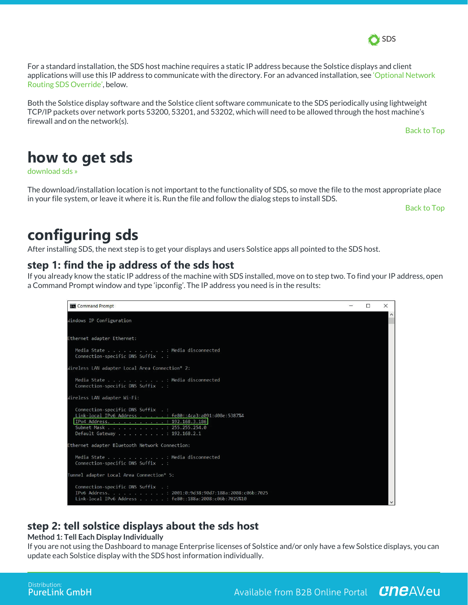

For a standard installation, the SDS host machine requires a static IP address because the Solstice displays and client applications will use this IP address to communicate with the directory. For an advanced installation, see 'Optional Network Routing SDS Override', below.

Both the Solstice display software and the Solstice client software communicate to the SDS periodically using lightweight TCP/IP packets over network ports 53200, 53201, and 53202, which will need to be allowed through the host machine's firewall and on the network(s).

Back to Top

# **how to get sds**

download sds »

The download/installation location is not important to the functionality of SDS, so move the file to the most appropriate place in your file system, or leave it where it is. Run the file and follow the dialog steps to install SDS.

Back to Top

# **configuring sds**

After installing SDS, the next step is to get your displays and users Solstice apps all pointed to the SDS host.

### **step 1: find the ip address of the sds host**

If you already know the static IP address of the machine with SDS installed, move on to step two. To find your IP address, open a Command Prompt window and type 'ipconfig'. The IP address you need is in the results:



## **step 2: tell solstice displays about the sds host**

#### **Method 1: Tell Each Display Individually**

If you are not using the Dashboard to manage Enterprise licenses of Solstice and/or only have a few Solstice displays, you can update each Solstice display with the SDS host information individually.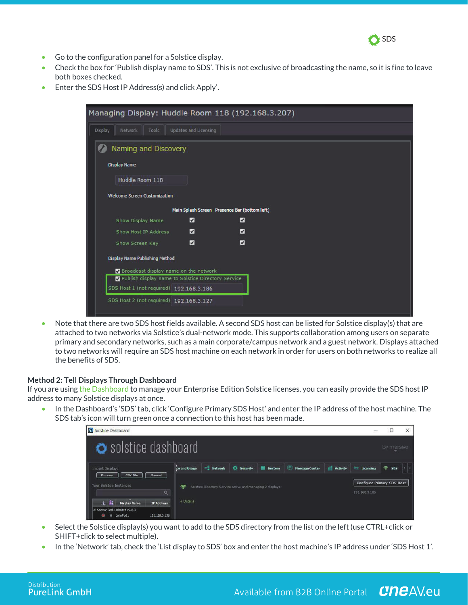

- Go to the configuration panel for a Solstice display.
- Check the box for 'Publish display name to SDS'. This is not exclusive of broadcasting the name, so it is fine to leave both boxes checked.
- Enter the SDS Host IP Address(s) and click Apply'.

| Managing Display: Huddle Room 118 (192.168.3.207)  |                              |                |  |  |  |  |  |  |
|----------------------------------------------------|------------------------------|----------------|--|--|--|--|--|--|
| Display<br>Network<br>Tools                        | <b>Updates and Licensing</b> |                |  |  |  |  |  |  |
| Naming and Discovery                               |                              |                |  |  |  |  |  |  |
| <b>Display Name</b>                                |                              |                |  |  |  |  |  |  |
| Huddle Room 118                                    |                              |                |  |  |  |  |  |  |
| <b>Welcome Screen Customization</b>                |                              |                |  |  |  |  |  |  |
| Main Splash Screen Presence Bar (bottom left)      |                              |                |  |  |  |  |  |  |
| Show Display Name                                  | $\overline{\mathbf{z}}$      | Ø              |  |  |  |  |  |  |
| Show Host IP Address                               | $\overline{v}$               | $\overline{z}$ |  |  |  |  |  |  |
| Show Screen Key                                    | $\overline{a}$               | Ø              |  |  |  |  |  |  |
| <b>Display Name Publishing Method</b>              |                              |                |  |  |  |  |  |  |
| Broadcast display name on the network              |                              |                |  |  |  |  |  |  |
| Publish display name to Solstice Directory Service |                              |                |  |  |  |  |  |  |
| SDS Host 1 (not required) 192.168.3.186            |                              |                |  |  |  |  |  |  |
| SDS Host 2 (not required) 192.168.3.127            |                              |                |  |  |  |  |  |  |
|                                                    |                              |                |  |  |  |  |  |  |

• Note that there are two SDS host fields available. A second SDS host can be listed for Solstice display(s) that are attached to two networks via Solstice's dual-network mode. This supports collaboration among users on separate primary and secondary networks, such as a main corporate/campus network and a guest network. Displays attached to two networks will require an SDS host machine on each network in order for users on both networks to realize all the benefits of SDS.

#### **Method 2: Tell Displays Through Dashboard**

If you are using the Dashboard to manage your Enterprise Edition Solstice licenses, you can easily provide the SDS host IP address to many Solstice displays at once.

• In the Dashboard's 'SDS' tab, click 'Configure Primary SDS Host' and enter the IP address of the host machine. The SDS tab's icon will turn green once a connection to this host has been made.

| <b>Solstice Dashboard</b>                                                                                       |                   |                        |                                                                               |        |                                     |                 |                                                          | □             | $\times$ |
|-----------------------------------------------------------------------------------------------------------------|-------------------|------------------------|-------------------------------------------------------------------------------|--------|-------------------------------------|-----------------|----------------------------------------------------------|---------------|----------|
| Solstice dashboard                                                                                              |                   |                        |                                                                               |        |                                     |                 |                                                          | by mersive    |          |
| <b>Import Displays</b><br>CSV File<br>Manual<br>Discover<br>Your Solstice Instances<br>Q                        | ce and Usage<br>ె | $\overline{=}$ Network | <b>Security</b><br>Solstice Directory Service active and managing 2 displays: | System | <b>IST</b><br><b>Message Center</b> | <b>Activity</b> | Licensing<br>Configure Primary SDS Host<br>192.168.3.186 | $\approx$ sps |          |
| <b>Display Name</b><br><b>IP Address</b><br># Solstice Pod, Unlimited v2.8.3<br>192.168.3.156<br>JohnPod1<br>n. | + Details         |                        |                                                                               |        |                                     |                 |                                                          |               |          |

- Select the Solstice display(s) you want to add to the SDS directory from the list on the left (use CTRL+click or SHIFT+click to select multiple).
- In the 'Network' tab, check the 'List display to SDS' box and enter the host machine's IP address under 'SDS Host 1'.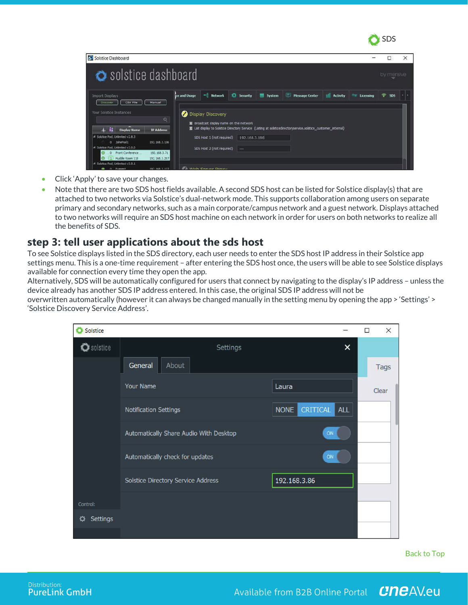

| Solstice Dashboard                                                          |                                       |                                                              |                   |        |                                                                                                              |                     |           |            |  |
|-----------------------------------------------------------------------------|---------------------------------------|--------------------------------------------------------------|-------------------|--------|--------------------------------------------------------------------------------------------------------------|---------------------|-----------|------------|--|
| Solstice dashboard                                                          |                                       |                                                              |                   |        |                                                                                                              |                     |           | by mersive |  |
| <b>Import Displays</b><br>CSV File<br><b>Discover</b>                       | ce and Usage<br>Manual                | - Network                                                    | <b>D</b> Security | System | Message Center                                                                                               | <b>Ill</b> Activity | Licensing | 曑<br>505   |  |
| Your Solstice Instances                                                     | $\alpha$                              | Display Discovery<br>X Broadcast display name on the network |                   |        | X List display to Solstice Directory Service (Listing at solsticedrectoryservice.solstice_customer_internal) |                     |           |            |  |
| <b>Display Name</b><br>Solstice Pod, Unlimited v2.8.3<br>0 JohnPod1         | <b>IP Address</b><br>192, 168, 3, 156 | SDS Host 1 (not required)                                    | 192.168.3.186     |        |                                                                                                              |                     |           |            |  |
| # Solstice Pod, Unlimited v3.0.0<br>0 Front Conference<br>1 Huddle Room 118 | 192.168.3.71<br>192, 168, 3, 207      | SDS Host 2 (not required)                                    | $\cdots$          |        |                                                                                                              |                     |           |            |  |
| # Solstice Pod, Unimited v3.0.1<br><b>A</b> O Puerect                       | 197 168 3 177                         | A Wah Caning Draws                                           |                   |        |                                                                                                              |                     |           |            |  |

- Click 'Apply' to save your changes.
- Note that there are two SDS host fields available. A second SDS host can be listed for Solstice display(s) that are attached to two networks via Solstice's dual-network mode. This supports collaboration among users on separate primary and secondary networks, such as a main corporate/campus network and a guest network. Displays attached to two networks will require an SDS host machine on each network in order for users on both networks to realize all the benefits of SDS.

### **step 3: tell user applications about the sds host**

To see Solstice displays listed in the SDS directory, each user needs to enter the SDS host IP address in their Solstice app settings menu. This is a one-time requirement – after entering the SDS host once, the users will be able to see Solstice displays available for connection every time they open the app.

Alternatively, SDS will be automatically configured for users that connect by navigating to the display's IP address – unless the device already has another SDS IP address entered. In this case, the original SDS IP address will not be

overwritten automatically (however it can always be changed manually in the setting menu by opening the app > 'Settings' > 'Solstice Discovery Service Address'.



Back to Top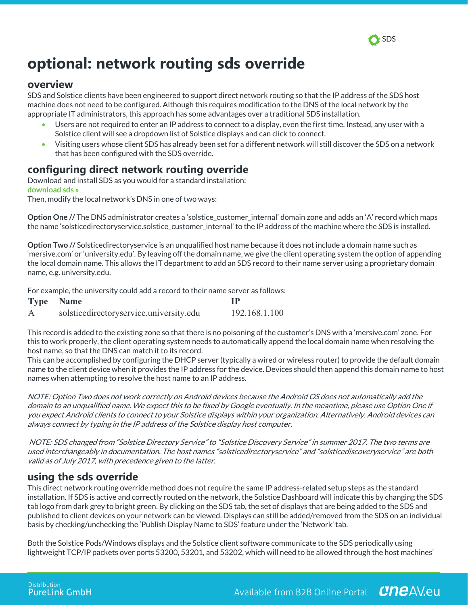

# **optional: network routing sds override**

### **overview**

SDS and Solstice clients have been engineered to support direct network routing so that the IP address of the SDS host machine does not need to be configured. Although this requires modification to the DNS of the local network by the appropriate IT administrators, this approach has some advantages over a traditional SDS installation.

- Users are not required to enter an IP address to connect to a display, even the first time. Instead, any user with a Solstice client will see a dropdown list of Solstice displays and can click to connect.
- Visiting users whose client SDS has already been set for a different network will still discover the SDS on a network that has been configured with the SDS override.

### **configuring direct network routing override**

Download and install SDS as you would for a standard installation: **download sds »**

Then, modify the local network's DNS in one of two ways:

**Option One** // The DNS administrator creates a 'solstice customer internal' domain zone and adds an 'A' record which maps the name 'solsticedirectoryservice.solstice\_customer\_internal' to the IP address of the machine where the SDS is installed.

**Option Two //** Solsticedirectoryservice is an unqualified host name because it does not include a domain name such as 'mersive.com' or 'university.edu'. By leaving off the domain name, we give the client operating system the option of appending the local domain name. This allows the IT department to add an SDS record to their name server using a proprietary domain name, e.g. university.edu.

For example, the university could add a record to their name server as follows:

|   | <b>Type Name</b>                        | TР            |
|---|-----------------------------------------|---------------|
| A | solsticedirectoryservice.university.edu | 192.168.1.100 |

This record is added to the existing zone so that there is no poisoning of the customer's DNS with a 'mersive.com' zone. For this to work properly, the client operating system needs to automatically append the local domain name when resolving the host name, so that the DNS can match it to its record.

This can be accomplished by configuring the DHCP server (typically a wired or wireless router) to provide the default domain name to the client device when it provides the IP address for the device. Devices should then append this domain name to host names when attempting to resolve the host name to an IP address.

NOTE: Option Two does not work correctly on Android devices because the Android OS does not automatically add the domain to an unqualified name. We expect this to be fixed by Google eventually. In the meantime, please use Option One if you expect Android clients to connect to your Solstice displays within your organization. Alternatively, Android devices can always connect by typing in the IP address of the Solstice display host computer.

NOTE: SDS changed from "Solstice Directory Service" to "Solstice Discovery Service" in summer 2017. The two terms are used interchangeably in documentation. The host names "solsticedirectoryservice" and "solsticediscoveryservice" are both valid as of July 2017, with precedence given to the latter.

### **using the sds override**

This direct network routing override method does not require the same IP address-related setup steps as the standard installation. If SDS is active and correctly routed on the network, the Solstice Dashboard will indicate this by changing the SDS tab logo from dark grey to bright green. By clicking on the SDS tab, the set of displays that are being added to the SDS and published to client devices on your network can be viewed. Displays can still be added/removed from the SDS on an individual basis by checking/unchecking the 'Publish Display Name to SDS' feature under the 'Network' tab.

Both the Solstice Pods/Windows displays and the Solstice client software communicate to the SDS periodically using lightweight TCP/IP packets over ports 53200, 53201, and 53202, which will need to be allowed through the host machines'